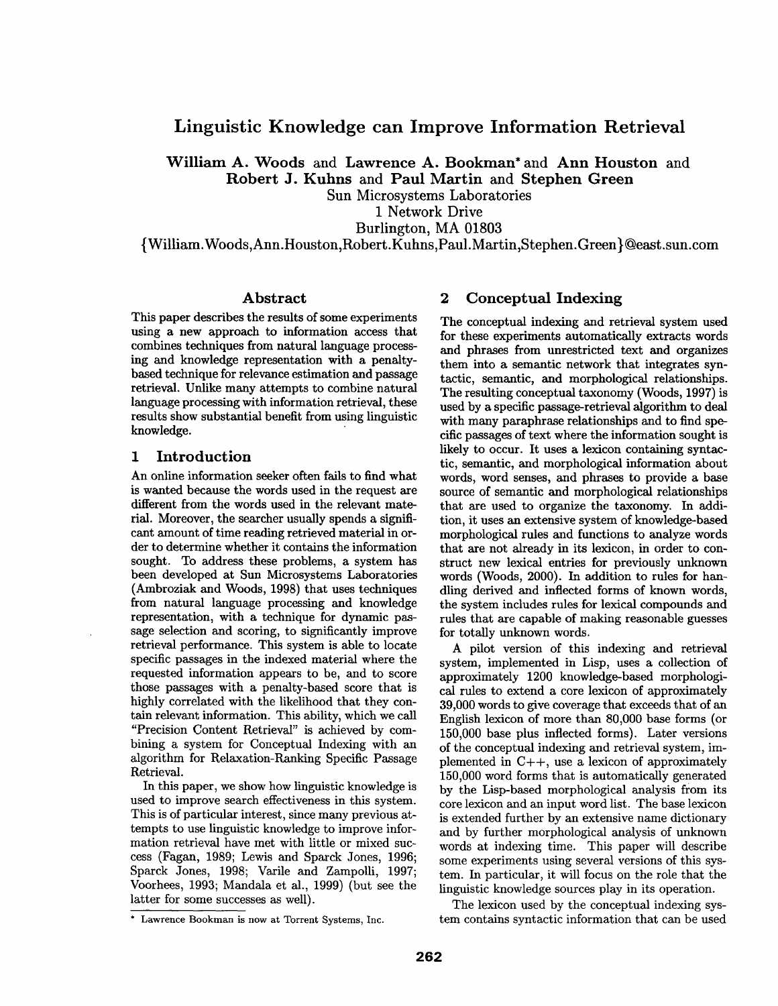# **Linguistic Knowledge can Improve Information Retrieval**

William A. Woods and Lawrence A. Bookman\* and Ann Houston and Robert J. Kuhns and Paul Martin and Stephen Green

Sun Microsystems Laboratories

1 Network Drive

Burlington, MA 01803

{William.Woods,Ann.Houston,Robert.Kuhns,Paul.Martin,Stephen.Green}@east.sun.com

#### **Abstract**

This paper describes the results of some experiments using a new approach to information access that combines techniques from natural language processing and knowledge representation with a penaltybased technique for relevance estimation and passage retrieval. Unlike many attempts to combine natural language processing with information retrieval, these results show substantial benefit from using linguistic knowledge.

#### 1 Introduction

An online information seeker often fails to find what is wanted because the words used in the request are different from the words used in the relevant material. Moreover, the searcher usually spends a significant amount of time reading retrieved material in order to determine whether it contains the information sought. To address these problems, a system has been developed at Sun Microsystems Laboratories (Ambroziak and Woods, 1998) that uses techniques from natural language processing and knowledge representation, with a technique for dynamic passage selection and scoring, to significantly improve retrieval performance. This system is able to locate specific passages in the indexed material where the requested information appears to be, and to score those passages with a penalty-based score that is highly correlated with the likelihood that they contain relevant information. This ability, which we call "Precision Content Retrieval" is achieved by combining a system for Conceptual Indexing with an algorithm for Relaxation-Ranking Specific Passage Retrieval.

In this paper, we show how linguistic knowledge is used to improve search effectiveness in this system. This is of particular interest, since many previous attempts to use linguistic knowledge to improve information retrieval have met with little or mixed success (Fagan, 1989; Lewis and Sparck Jones, 1996; Sparck Jones, 1998; Varile and Zampolli, 1997; Voorhees, 1993; Mandala et al., 1999) (but see the latter for some successes as well).

### 2 Conceptual **Indexing**

The conceptual indexing and retrieval system used for these experiments automatically extracts words and phrases from unrestricted text and organizes them into a semantic network that integrates syntactic, semantic, and morphological relationships. The resulting conceptual taxonomy (Woods, 1997) is used by a specific passage-retrieval algorithm to deal with many paraphrase relationships and to find specific passages of text where the information sought is likely to occur. It uses a lexicon containing syntactic, semantic, and morphological information about words, word senses, and phrases to provide a base source of semantic and morphological relationships that are used to organize the taxonomy. In addition, it uses an extensive system of knowledge-based morphological rules and functions to analyze words that are not already in its lexicon, in order to construct new lexical entries for previously unknown words (Woods, 2000). In addition to rules for handling derived and inflected forms of known words, the system includes rules for lexical compounds and rules that are capable of making reasonable guesses for totally unknown words.

A pilot version of this indexing and retrieval system, implemented in Lisp, uses a collection of approximately 1200 knowledge-based morphological rules to extend a core lexicon of approximately 39,000 words to give coverage that exceeds that of an English lexicon of more than 80,000 base forms (or 150,000 base plus inflected forms). Later versions of the conceptual indexing and retrieval system, implemented in C++, use a lexicon of approximately 150,000 word forms that is automatically generated by the Lisp-based morphological analysis from its core lexicon and an input word list. The base lexicon is extended further by an extensive name dictionary and by further morphological analysis of unknown words at indexing time. This paper will describe some experiments using several versions of this system. In particular, it will focus on the role that the linguistic knowledge sources play in its operation.

The lexicon used by the conceptual indexing system contains syntactic information that can be used

<sup>\*</sup> Lawrence Bookman is now at Torrent Systems, Inc.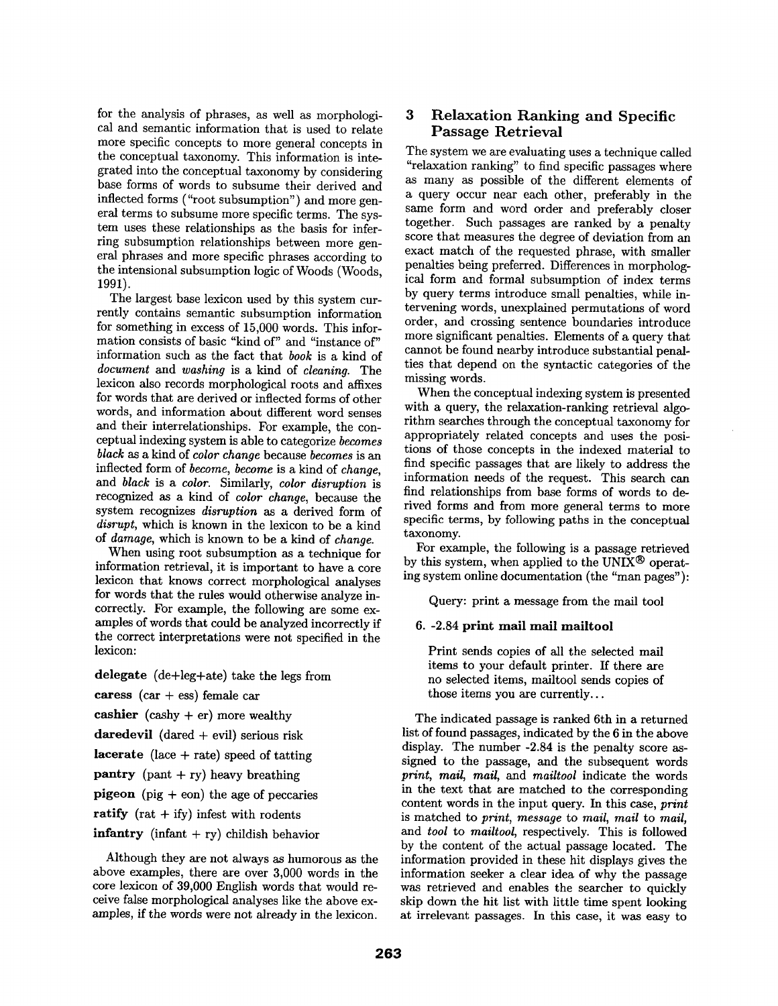for the analysis of phrases, as well as morphological and semantic information that is used to relate more specific concepts to more general concepts in the conceptual taxonomy. This information is integrated into the conceptual taxonomy by considering base forms of words to subsume their derived and inflected forms ("root subsumption") and more general terms to subsume more specific terms. The system uses these relationships as the basis for inferring subsumption relationships between more general phrases and more specific phrases according to the intensional subsumption logic of Woods (Woods, 1991).

The largest base lexicon used by this system currently contains semantic subsumption information for something in excess of 15,000 words. This information consists of basic "kind of" and "instance of" information such as the fact that *book* is a kind of *document* and *washing* is a kind of *cleaning.* The lexicon also records morphological roots and affixes for words that are derived or inflected forms of other words, and information about different word senses and their interrelationships. For example, the conceptual indexing system is able to categorize *becomes black* as a kind of *color change* because *becomes* is an inflected form of *become, become* is a kind of *change,*  and *black* is a *color.* Similarly, *color disruption* is recognized as a kind of *color change,* because the system recognizes *disruption* as a derived form of *disrupt,* which is known in the lexicon to be a kind of *damage,* which is known to be a kind of *change.* 

When using root subsumption as a technique for information retrieval, it is important to have a core lexicon that knows correct morphological analyses for words that the rules would otherwise analyze incorrectly. For example, the following are some examples of words that could be analyzed incorrectly if the correct interpretations were not specified in the lexicon:

delegate (de+leg+ate) take the legs from caress  $(car + ess)$  female car

cashier  $(cashy + er)$  more wealthy

daredevil (dared + evil) serious risk

**lacerate** (lace  $+$  rate) speed of tatting

pantry (pant  $+$  ry) heavy breathing

**pigeon** (pig  $+$  eon) the age of peccaries

ratify  $(rat + ify)$  infest with rodents

infantry (infant  $+$  ry) childish behavior

Although they are not always as humorous as the above examples, there are over 3,000 words in the core lexicon of 39,000 English words that would receive false morphological analyses like the above examples, if the words were not already in the lexicon.

# 3 Relaxation Ranking and Specific Passage Retrieval

The system we are evaluating uses a technique called "relaxation ranking" to find specific passages where as many as possible of the different elements of a query occur near each other, preferably in the same form and word order and preferably closer together. Such passages are ranked by a penalty score that measures the degree of deviation from an exact match of the requested phrase, with smaller penalties being preferred. Differences in morphological form and formal subsumption of index terms by query terms introduce small penalties, while intervening words, unexplained permutations of word order, and crossing sentence boundaries introduce more significant penalties. Elements of a query that cannot be found nearby introduce substantial penalties that depend on the syntactic categories of the missing words.

When the conceptual indexing system is presented with a query, the relaxation-ranking retrieval algorithm searches through the conceptual taxonomy for appropriately related concepts and uses the positions of those concepts in the indexed material to find specific passages that are likely to address the information needs of the request. This search can find relationships from base forms of words to derived forms and from more general terms to more specific terms, by following paths in the conceptual taxonomy.

For example, the following is a passage retrieved by this system, when applied to the UNIX $\Phi$  operating system online documentation (the "man pages"):

Query: print a message from the mail tool

#### **6. -2.84 print mail mail mailtool**

Print sends copies of all the selected mail items to your default printer. If there are no selected items, mailtool sends copies of those items you axe currently...

The indicated passage is ranked 6th in a returned list of found passages, indicated by the 6 in the above display. The number -2.84 is the penalty score assigned to the passage, and the subsequent words *print, mail, mail, and mailtool* indicate the words in the text that are matched to the corresponding content words in the input query. In this case, *print*  is matched to *print, message* to *mail, mail* to *mail, and tool* to *mailtool,* respectively. This is followed by the content of the actual passage located. The information provided in these hit displays gives the information seeker a clear idea of why the passage was retrieved and enables the searcher to quickly skip down the hit list with little time spent looking at irrelevant passages. In this case, it was easy to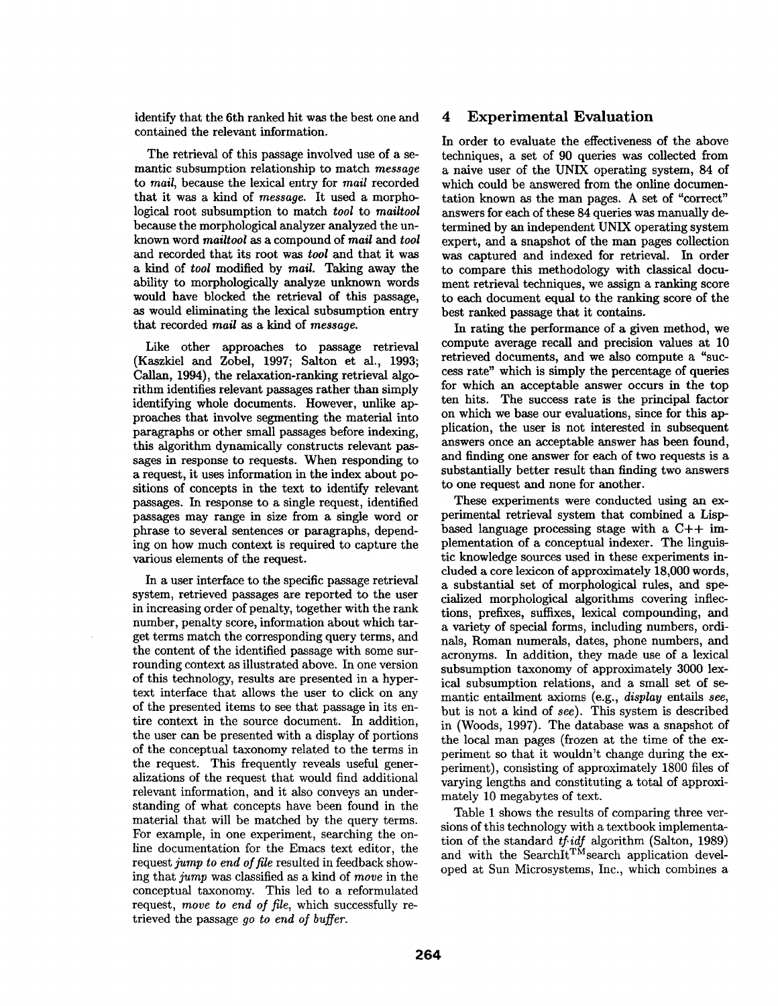identify that the 6th ranked hit was the best one and contained the relevant information.

The retrieval of this passage involved use of a semantic subsumption relationship to match *message*  to *mail,* because the lexical entry for *mail* recorded that it was a kind of *message.* It used a morphological root subsumption to match *tool* to *mailtool*  because the morphological analyzer analyzed the unknown word *mailtool* as a compound of *mail and tool*  and recorded that its root was *tool* and that it was a kind of *tool* modified by *mail.* Taking away the ability to morphologically analyze unknown words would have blocked the retrieval of this passage, as would eliminating the lexical subsumption entry that recorded *mail* as a kind of *message.* 

Like other approaches to passage retrieval (Kaszkiel and Zobel, 1997; Salton et al., 1993; Callan, 1994), the relaxation-ranking retrieval algorithm identifies relevant passages rather than simply identifying whole documents. However, unlike approaches that involve segmenting the material into paragraphs or other small passages before indexing, this algorithm dynamically constructs relevant passages in response to requests. When responding to a request, it uses information in the index about positions of concepts in the text to identify relevant passages. In response to a single request, identified passages may range in size from a single word or phrase to several sentences or paragraphs, depending on how much context is required to capture the various elements of the request.

In a user interface to the specific passage retrieval system, retrieved passages are reported to the user in increasing order of penalty, together with the rank number, penalty score, information about which target terms match the corresponding query terms, and the content of the identified passage with some surrounding context as illustrated above. In one version of this technology, results are presented in a hypertext interface that allows the user to click on any of the presented items to see that passage in its entire context in the source document. In addition, the user can be presented with a display of portions of the conceptual taxonomy related to the terms in the request. This frequently reveals useful generalizations of the request that would find additional relevant information, and it also conveys an understanding of what concepts have been found in the material that will be matched by the query terms. For example, in one experiment, searching the online documentation for the Emacs text editor, the request *jump to end of file* resulted in feedback showing that *jump* was classified as a kind of *move* in the conceptual taxonomy. This led to a reformulated request, *move to end of file,* which successfully retrieved the passage *9o to end of buffer.* 

### **4 Experimental** Evaluation

In order to evaluate the effectiveness of the above techniques, a set of 90 queries was collected from a naive user of the UNIX operating system, 84 of which could be answered from the online documentation known as the man pages. A set of "correct" answers for each of these 84 queries was manually determined by an independent UNIX operating system expert, and a snapshot of the man pages collection was captured and indexed for retrieval. In order to compare this methodology with classical document retrieval techniques, we assign a ranking score to each document equal to the ranking score of the best ranked passage that it contains.

In rating the performance of a given method, we compute average recall and precision values at 10 retrieved documents, and we also compute a "success rate" which is simply the percentage of queries for which an acceptable answer occurs in the top ten hits. The success rate is the principal factor on which we base our evaluations, since for this application, the user is not interested in subsequent answers once an acceptable answer has been found, and finding one answer for each of two requests is a substantially better result than finding two answers to one request and none for another.

These experiments were conducted using an experimental retrieval system that combined a Lispbased language processing stage with a C++ implementation of a conceptual indexer. The linguistic knowledge sources used in these experiments included a core lexicon of approximately 18,000 words, a substantial set of morphological rules, and specialized morphological algorithms covering inflections, prefixes, suffixes, lexical compounding, and a variety of special forms, including numbers, ordinals, Roman numerals, dates, phone numbers, and acronyms. In addition, they made use of a lexical subsumption taxonomy of approximately 3000 lexical subsumption relations, and a small set of semantic entailment axioms (e.g., *display* entails *see,*  but is not a kind of *see).* This system is described in (Woods, 1997). The database was a snapshot of the local man pages (frozen at the time of the experiment so that it wouldn't change during the experiment), consisting of approximately 1800 files of varying lengths and constituting a total of approximately 10 megabytes of text.

Table 1 shows the results of comparing three versions of this technology with a textbook implementation of the standard *tf-idf* algorithm (Salton, 1989) and with the SearchIt<sup>TM</sup>search application developed at Sun Microsystems, Inc., which combines a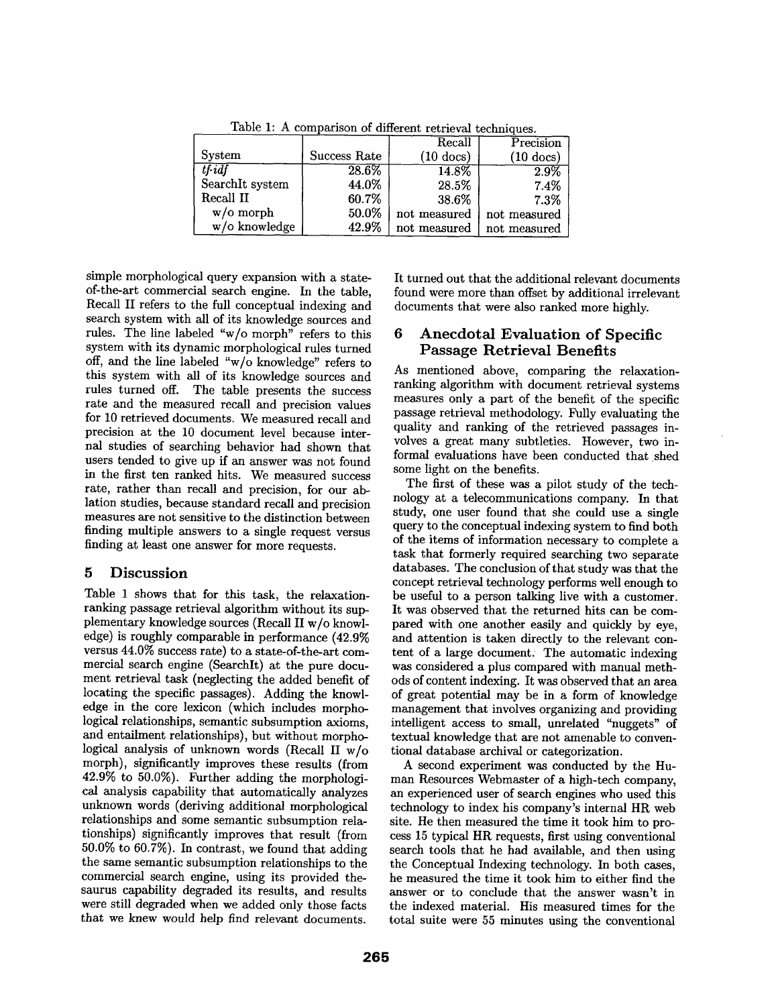|                 |              | Recall              | Precision    |
|-----------------|--------------|---------------------|--------------|
| System          | Success Rate | $(10 \text{ docs})$ | $(10$ docs)  |
| $t$ f·idf       | 28.6%        | 14.8%               | $2.9\%$      |
| SearchIt system | 44.0%        | 28.5%               | 7.4%         |
| Recall II       | 60.7%        | 38.6%               | 7.3%         |
| $w$ /o morph    | 50.0%        | not measured        | not measured |
| w/o knowledge   | 42.9%        | not measured        | not measured |

Table 1: A comparison of different retrieval techniques.

simple morphological query expansion with a stateof-the-art commercial search engine. In the table, Recall II refers to the full conceptual indexing and search system with all of its knowledge sources and rules. The line labeled "w/o morph" refers to this system with its dynamic morphological rules turned off, and the line labeled "w/o knowledge" refers to this system with all of its knowledge sources and rules turned off. The table presents the success rate and the measured recall and precision values for 10 retrieved documents. We measured recall and precision at the 10 document level because internal studies of searching behavior had shown that users tended to give up if an answer was not found in the first ten ranked hits. We measured success rate, rather than recall and precision, for our ablation studies, because standard recall and precision measures are not sensitive to the distinction between finding multiple answers to a single request versus finding at least one answer for more requests.

# 5 Discussion

Table 1 shows that for this task, the relaxationranking passage retrieval algorithm without its supplementary knowledge sources (Recall II w/o knowledge) is roughly comparable in performance (42.9% versus 44.0% success rate) to a state-of-the-art commercial search engine (SearchIt) at the pure document retrieval task (neglecting the added benefit of locating the specific passages). Adding the knowledge in the core lexicon (which includes morphological relationships, semantic subsumption axioms, and entailment relationships), but without morphological analysis of unknown words (Recall II w/o morph), significantly improves these results (from 42.9% to 50.0%). Further adding the morphological analysis capability that automatically analyzes unknown words (deriving additional morphological relationships and some semantic subsumption relationships) significantly improves that result (from 50.0% to 60.7%). In contrast, we found that adding the same semantic subsumption relationships to the commercial search engine, using its provided thesaurus capability degraded its results, and results were still degraded when we added only those facts that we knew would help find relevant documents.

It turned out that the additional relevant documents found were more than offset by additional irrelevant documents that were also ranked more highly.

# 6 Anecdotal Evaluation of Specific Passage Retrieval Benefits

As mentioned above, comparing the relaxationranking algorithm with document retrieval systems measures only a part of the benefit of the specific passage retrieval methodology. Fully evaluating the quality and ranking of the retrieved passages involves a great many subtleties. However, two informal evaluations have been conducted that shed some light on the benefits.

The first of these was a pilot study of the technology at a telecommunications company. In that study, one user found that she could use a single query to the conceptual indexing system to find both of the items of information necessary to complete a task that formerly required searching two separate databases. The conclusion of that study was that the concept retrieval technology performs well enough to be useful to a person talking live with a customer. It was observed that the returned hits can be compared with one another easily and quickly by eye, and attention is taken directly to the relevant content of a large document: The automatic indexing was considered a plus compared with manual methods of content indexing. It was observed that an area of great potential may be in a form of knowledge management that involves organizing and providing intelligent access to small, unrelated "nuggets" of textual knowledge that are not amenable to conventional database archival or categorization.

A second experiment was conducted by the Human Resources Webmaster of a high-tech company, an experienced user of search engines who used this technology to index his company's internal HR web site. He then measured the time it took him to process 15 typical HR requests, first using conventional search tools that he had available, and then using the Conceptual Indexing technology. In both cases, he measured the time it took him to either find the answer or to conclude that the answer wasn't in the indexed material. His measured times for the total suite were 55 minutes using the conventional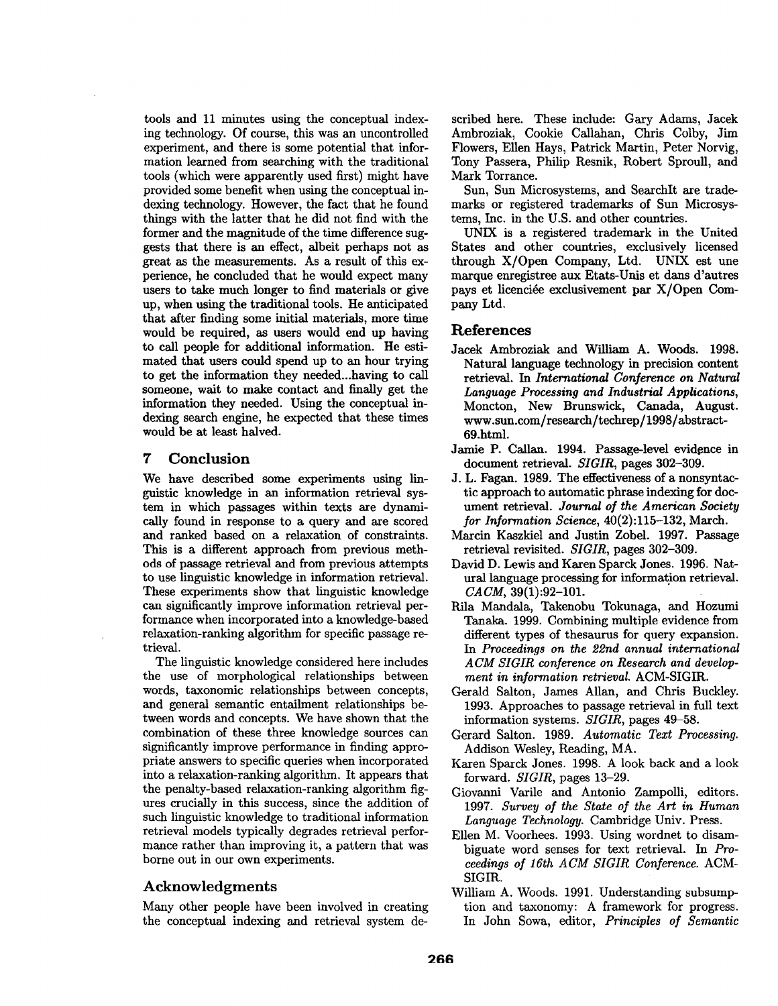tools and 11 minutes using the conceptual indexing technology. Of course, this was an uncontrolled experiment, and there is some potential that information learned from searching with the traditional tools (which were apparently used first) might have provided some benefit when using the conceptual indexing technology. However, the fact that he found things with the latter that he did not find with the former and the magnitude of the time difference suggests that there is an effect, albeit perhaps not as great as the measurements. As a result of this experience, he concluded that he would expect many users to take much longer to find materials or give up, when using the traditional tools. He anticipated that after finding some initial materials, more time would be required, as users would end up having to call people for additional information. He estimated that users could spend up to an hour trying to get the information they needed...having to call someone, wait to make contact and finally get the information they needed. Using the conceptual indexing search engine, he expected that these times would be at least halved.

## **7 Conclusion**

We have described some experiments using linguistic knowledge in an information retrieval system in which passages within texts are dynamically found in response to a query and are scored and ranked based on a relaxation of constraints. This is a different approach from previous methods of passage retrieval and from previous attempts to use linguistic knowledge in information retrieval. These experiments show that linguistic knowledge can significantly improve information retrieval performance when incorporated into a knowledge-based relaxation-ranking algorithm for specific passage retrieval.

The linguistic knowledge considered here includes the use of morphological relationships between words, taxonomic relationships between concepts, and general semantic entailment relationships between words and concepts. We have shown that the combination of these three knowledge sources can significantly improve performance in finding appropriate answers to specific queries when incorporated into a relaxation-ranking algorithm. It appears that the penalty-based relaxation-ranking algorithm figures crucially in this success, since the addition of such linguistic knowledge to traditional information retrieval models typically degrades retrieval performance rather than improving it, a pattern that was borne out in our own experiments.

### Acknowledgments

Many other people have been involved in creating the conceptual indexing and retrieval system described here. These include: Gary Adams, Jacek Ambroziak, Cookie Callahan, Chris Colby, Jim Flowers, Ellen Hays, Patrick Martin, Peter Norvig, Tony Passera, Philip Resnik, Robert Sproull, and Mark Torrance.

Sun, Sun Microsystems, and SearchIt are trademarks or registered trademarks of Sun Microsystems, Inc. in the U.S. and other countries.

UNIX is a registered trademark in the United States and other countries, exclusively licensed through X/Open Company, Ltd. UNIX est une marque enregistree aux Etats-Unis et dans d'autres pays et licenciée exclusivement par  $X/O$ pen Company Ltd.

## References

- Jacek Ambroziak and William A. Woods. 1998. Natural language technology in precision content retrieval. In *International Conference on Natural Language Processing and Industrial Applications,*  Moncton, New Brunswick, Canada, August. www.stm.com/research/techrep/1998/abstract-69.html.
- Jamie P. Callan. 1994. Passage-level evidgnce in document retrieval. *SIGIR,* pages 302-309.
- J. L. Fagan. 1989. The effectiveness of a nonsyntactic approach to automatic phrase indexing for document retrieval. *Journal of the American Society for Information Science,* 40(2):115-132, March.
- Marcin Kaszkiel and Justin Zobel. 1997. Passage retrieval revisited. *SIGIR,* pages 302-309.
- David D. Lewis and Karen Sparck Jones. 1996. Natural language processing for information retrieval. *CACM,* 39(1):92-101.
- Rila Mandala, Takenobu Tokunaga, and Hozumi Tanaka. 1999. Combining multiple evidence from different types of thesaurus for query expansion. *In Proceedings on the 22nd annual international A CM SIGIR conference on Research and development in information retrieval.* ACM-SIGIR.
- Gerald Salton, James Allan, and Chris Buckley. 1993. Approaches to passage retrieval in full text information systems. *SIGIR,* pages 49-58.
- Gerard Salton. 1989. *Automatic Text Processing.*  Addison Wesley, Reading, MA.
- Karen Sparck Jones. 1998. A look back and a look forward. *SIGIR,* pages 13-29.
- Giovanni Varile and Antonio Zampolli, editors. 1997. *Survey of the State of the Art in Human Language Technology.* Cambridge Univ. Press.
- Ellen M. Voorhees. 1993. Using wordnet to disambiguate word senses for text retrieval. In *Proceedings of 16th ACM SIGIR Conference.* ACM-SIG1R.
- William A. Woods. 1991. Understanding subsumption and taxonomy: A framework for progress. In John Sowa, editor, *Principles of Semantic*